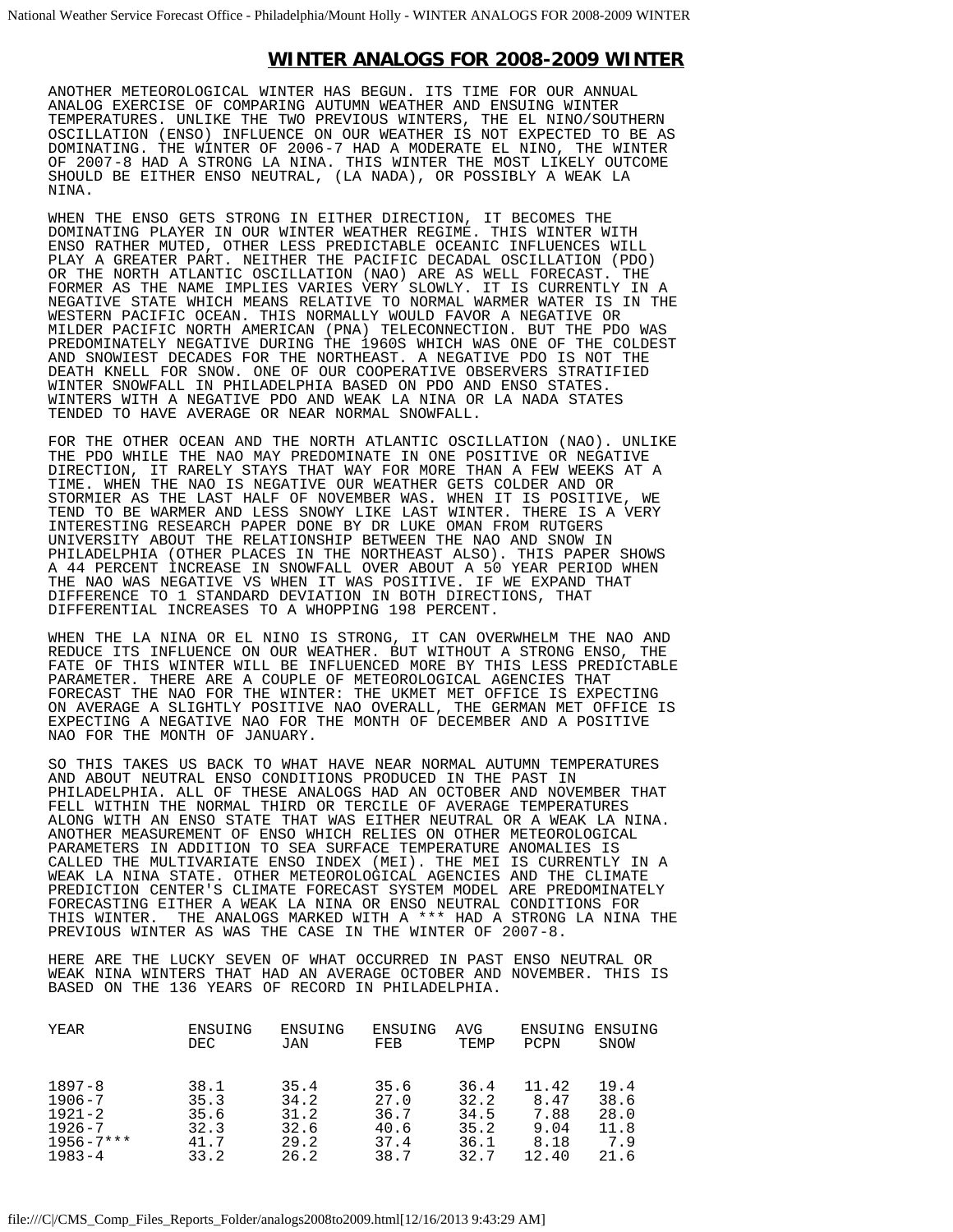## **WINTER ANALOGS FOR 2008-2009 WINTER**

ANOTHER METEOROLOGICAL WINTER HAS BEGUN. ITS TIME FOR OUR ANNUAL ANALOG EXERCISE OF COMPARING AUTUMN WEATHER AND ENSUING WINTER TEMPERATURES. UNLIKE THE TWO PREVIOUS WINTERS, THE EL NINO/SOUTHERN OSCILLATION (ENSO) INFLUENCE ON OUR WEATHER IS NOT EXPECTED TO BE AS DOMINATING. THE WINTER OF 2006-7 HAD A MODERATE EL NINO, THE WINTER OF 2007-8 HAD A STRONG LA NINA. THIS WINTER THE MOST LIKELY OUTCOME SHOULD BE EITHER ENSO NEUTRAL, (LA NADA), OR POSSIBLY A WEAK LA NINA.

WHEN THE ENSO GETS STRONG IN EITHER DIRECTION, IT BECOMES THE DOMINATING PLAYER IN OUR WINTER WEATHER REGIME. THIS WINTER WITH ENSO RATHER MUTED, OTHER LESS PREDICTABLE OCEANIC INFLUENCES WILL PLAY A GREATER PART. NEITHER THE PACIFIC DECADAL OSCILLATION (PDO) OR THE NORTH ATLANTIC OSCILLATION (NAO) ARE AS WELL FORECAST. THE FORMER AS THE NAME IMPLIES VARIES VERY SLOWLY. IT IS CURRENTLY IN A NEGATIVE STATE WHICH MEANS RELATIVE TO NORMAL WARMER WATER IS IN THE WESTERN PACIFIC OCEAN. THIS NORMALLY WOULD FAVOR A NEGATIVE OR MILDER PACIFIC NORTH AMERICAN (PNA) TELECONNECTION. BUT THE PDO WAS PREDOMINATELY NEGATIVE DURING THE 1960S WHICH WAS ONE OF THE COLDEST AND SNOWIEST DECADES FOR THE NORTHEAST. A NEGATIVE PDO IS NOT THE DEATH KNELL FOR SNOW. ONE OF OUR COOPERATIVE OBSERVERS STRATIFIED WINTER SNOWFALL IN PHILADELPHIA BASED ON PDO AND ENSO STATES. WINTERS WITH A NEGATIVE PDO AND WEAK LA NINA OR LA NADA STATES TENDED TO HAVE AVERAGE OR NEAR NORMAL SNOWFALL.

FOR THE OTHER OCEAN AND THE NORTH ATLANTIC OSCILLATION (NAO). UNLIKE THE PDO WHILE THE NAO MAY PREDOMINATE IN ONE POSITIVE OR NEGATIVE DIRECTION, IT RARELY STAYS THAT WAY FOR MORE THAN A FEW WEEKS AT A TIME. WHEN THE NAO IS NEGATIVE OUR WEATHER GETS COLDER AND OR STORMIER AS THE LAST HALF OF NOVEMBER WAS. WHEN IT IS POSITIVE, WE TEND TO BE WARMER AND LESS SNOWY LIKE LAST WINTER. THERE IS A VERY INTERESTING RESEARCH PAPER DONE BY DR LUKE OMAN FROM RUTGERS UNIVERSITY ABOUT THE RELATIONSHIP BETWEEN THE NAO AND SNOW IN PHILADELPHIA (OTHER PLACES IN THE NORTHEAST ALSO). THIS PAPER SHOWS A 44 PERCENT INCREASE IN SNOWFALL OVER ABOUT A 50 YEAR PERIOD WHEN THE NAO WAS NEGATIVE VS WHEN IT WAS POSITIVE. IF WE EXPAND THAT DIFFERENCE TO 1 STANDARD DEVIATION IN BOTH DIRECTIONS, THAT DIFFERENTIAL INCREASES TO A WHOPPING 198 PERCENT.

WHEN THE LA NINA OR EL NINO IS STRONG, IT CAN OVERWHELM THE NAO AND REDUCE ITS INFLUENCE ON OUR WEATHER. BUT WITHOUT A STRONG ENSO, THE FATE OF THIS WINTER WILL BE INFLUENCED MORE BY THIS LESS PREDICTABLE PARAMETER. THERE ARE A COUPLE OF METEOROLOGICAL AGENCIES THAT FORECAST THE NAO FOR THE WINTER: THE UKMET MET OFFICE IS EXPECTING ON AVERAGE A SLIGHTLY POSITIVE NAO OVERALL, THE GERMAN MET OFFICE IS EXPECTING A NEGATIVE NAO FOR THE MONTH OF DECEMBER AND A POSITIVE NAO FOR THE MONTH OF JANUARY.

 $\overline{a}$ SO THIS TAKES US BACK TO WHAT HAVE NEAR NORMAL AUTUMN TEMPERATURES AND ABOUT NEUTRAL ENSO CONDITIONS PRODUCED IN THE PAST IN PHILADELPHIA. ALL OF THESE ANALOGS HAD AN OCTOBER AND NOVEMBER THAT FELL WITHIN THE NORMAL THIRD OR TERCILE OF AVERAGE TEMPERATURES ALONG WITH AN ENSO STATE THAT WAS EITHER NEUTRAL OR A WEAK LA NINA. ANOTHER MEASUREMENT OF ENSO WHICH RELIES ON OTHER METEOROLOGICAL PARAMETERS IN ADDITION TO SEA SURFACE TEMPERATURE ANOMALIES IS CALLED THE MULTIVARIATE ENSO INDEX (MEI). THE MEI IS CURRENTLY IN A WEAK LA NINA STATE. OTHER METEOROLOGICAL AGENCIES AND THE CLIMATE PREDICTION CENTER'S CLIMATE FORECAST SYSTEM MODEL ARE PREDOMINATELY FORECASTING EITHER A WEAK LA NINA OR ENSO NEUTRAL CONDITIONS FOR<br>THIS WINTER. THE ANALOGS MARKED WITH A \*\*\* HAD A STRONG LA NINA THE ANALOGS MARKED WITH A \*\*\* HAD A STRONG LA NINA THE PREVIOUS WINTER AS WAS THE CASE IN THE WINTER OF 2007-8.

HERE ARE THE LUCKY SEVEN OF WHAT OCCURRED IN PAST ENSO NEUTRAL OR WEAK NINA WINTERS THAT HAD AN AVERAGE OCTOBER AND NOVEMBER. THIS IS BASED ON THE 136 YEARS OF RECORD IN PHILADELPHIA.

| YEAR           | ENSUING | ENSUING | ENSUING | AVG  | ENSUING | ENSUING |
|----------------|---------|---------|---------|------|---------|---------|
|                | DEC.    | JAN     | FEB     | TEMP | PCPN    | SNOW    |
| $1897 - 8$     | 38.1    | 35.4    | 35.6    | 36.4 | 11.42   | 19.4    |
| $1906 - 7$     | 35.3    | 34.2    | 27.0    | 32.2 | 8.47    | 38.6    |
| $1921 - 2$     | 35.6    | 31.2    | 36.7    | 34.5 | 7.88    | 28.0    |
| $1926 - 7$     | 32.3    | 32.6    | 40.6    | 35.2 | 9.04    | 11.8    |
| $1956 - 7$ *** | 41.7    | 29.2    | 37.4    | 36.1 | 8.18    | 7.9     |
| $1983 - 4$     | 33.2    | 26.2    | 38.7    | 32.7 | 12.40   | 21.6    |